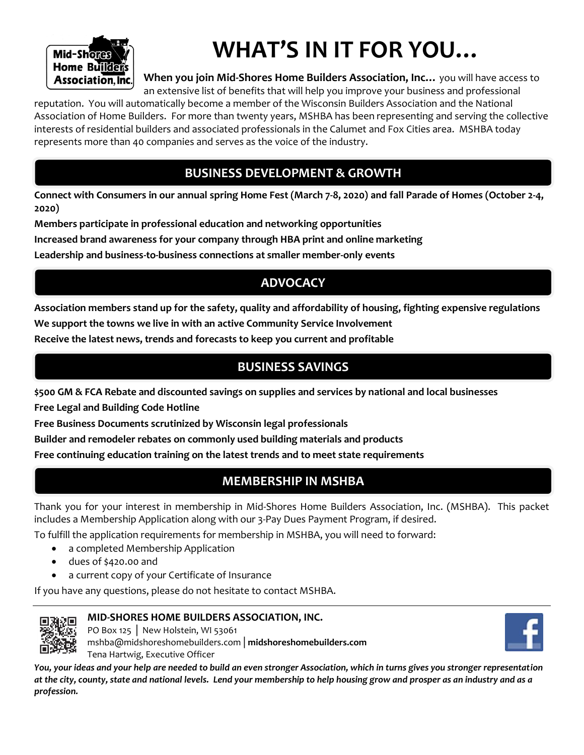

# **WHAT'S IN IT FOR YOU…**

**When you join Mid-Shores Home Builders Association, Inc…** you will have access to an extensive list of benefits that will help you improve your business and professional

reputation. You will automatically become a member of the Wisconsin Builders Association and the National Association of Home Builders. For more than twenty years, MSHBA has been representing and serving the collective interests of residential builders and associated professionals in the Calumet and Fox Cities area. MSHBA today represents more than 40 companies and serves as the voice of the industry.

### **BUSINESS DEVELOPMENT & GROWTH**

**Connect with Consumers in our annual spring Home Fest (March 7-8, 2020) and fall Parade of Homes (October 2-4, 2020)**

**Members participate in professional education and networking opportunities**

**Increased brand awareness for your company through HBA print and online marketing** 

**Leadership and business-to-business connections at smaller member-only events**

### **ADVOCACY**

**Association members stand up for the safety, quality and affordability of housing, fighting expensive regulations We support the towns we live in with an active Community Service Involvement**

**Receive the latest news, trends and forecasts to keep you current and profitable**

### **BUSINESS SAVINGS**

**\$500 GM & FCA Rebate and discounted savings on supplies and services by national and local businesses**

**Free Legal and Building Code Hotline**

**Free Business Documents scrutinized by Wisconsin legal professionals**

**Builder and remodeler rebates on commonly used building materials and products**

**Free continuing education training on the latest trends and to meet state requirements**

### **MEMBERSHIP IN MSHBA**

Thank you for your interest in membership in Mid-Shores Home Builders Association, Inc. (MSHBA). This packet includes a Membership Application along with our 3-Pay Dues Payment Program, if desired.

To fulfill the application requirements for membership in MSHBA, you will need to forward:

- a completed Membership Application
- dues of \$420.00 and
- a current copy of your Certificate of Insurance

If you have any questions, please do not hesitate to contact MSHBA.



### **MID-SHORES HOME BUILDERS ASSOCIATION, INC.**

PO Box 125 │ New Holstein, WI 53061 mshba@midshoreshomebuilders.com│**midshoreshomebuilders.com**  Tena Hartwig, Executive Officer



*You, your ideas and your help are needed to build an even stronger Association, which in turns gives you stronger representation at the city, county, state and national levels. Lend your membership to help housing grow and prosper as an industry and as a profession.*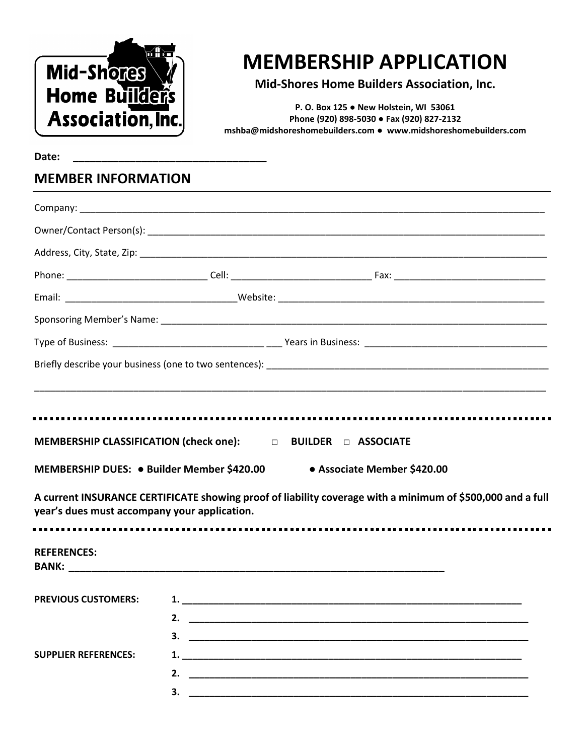

# **MEMBERSHIP APPLICATION**

**Mid-Shores Home Builders Association, Inc.**

**P. O. Box 125 ● New Holstein, WI 53061 Phone (920) 898-5030 ● Fax (920) 827-2132 [mshba@midshoreshomebuilders.com](mailto:mshba@midshoreshomebuilders.com) ● www.midshoreshomebuilders.com**

**Date: \_\_\_\_\_\_\_\_\_\_\_\_\_\_\_\_\_\_\_\_\_\_\_\_\_\_\_\_\_\_\_\_\_\_**

### **MEMBER INFORMATION**

| MEMBERSHIP DUES: ● Builder Member \$420.00   |    | MEMBERSHIP CLASSIFICATION (check one): $\Box$ BUILDER $\Box$ ASSOCIATE<br>• Associate Member \$420.00      |  |
|----------------------------------------------|----|------------------------------------------------------------------------------------------------------------|--|
| year's dues must accompany your application. |    | A current INSURANCE CERTIFICATE showing proof of liability coverage with a minimum of \$500,000 and a full |  |
| <b>REFERENCES:</b>                           |    |                                                                                                            |  |
| <b>PREVIOUS CUSTOMERS:</b>                   | 2. | 3.                                                                                                         |  |
| <b>SUPPLIER REFERENCES:</b>                  |    | 3.                                                                                                         |  |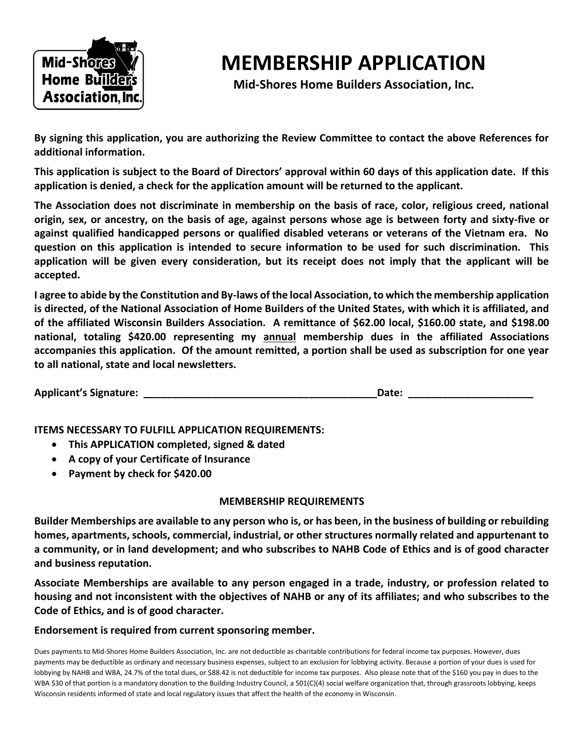

# **MEMBERSHIP APPLICATION**

**Mid-Shores Home Builders Association, Inc.**

**By signing this application, you are authorizing the Review Committee to contact the above References for additional information.**

**This application is subject to the Board of Directors' approval within 60 days of this application date. If this application is denied, a check for the application amount will be returned to the applicant.**

**The Association does not discriminate in membership on the basis of race, color, religious creed, national origin, sex, or ancestry, on the basis of age, against persons whose age is between forty and sixty-five or against qualified handicapped persons or qualified disabled veterans or veterans of the Vietnam era. No question on this application is intended to secure information to be used for such discrimination. This application will be given every consideration, but its receipt does not imply that the applicant will be accepted.**

**I agree to abide by the Constitution and By-laws of the local Association, to which the membership application is directed, of the National Association of Home Builders of the United States, with which it is affiliated, and of the affiliated Wisconsin Builders Association. A remittance of \$62.00 local, \$160.00 state, and \$198.00 national, totaling \$420.00 representing my annual membership dues in the affiliated Associations accompanies this application. Of the amount remitted, a portion shall be used as subscription for one year to all national, state and local newsletters.**

| <b>Applicant's Signature:</b> | Date |
|-------------------------------|------|
|                               |      |

**ITEMS NECESSARY TO FULFILL APPLICATION REQUIREMENTS:**

- **This APPLICATION completed, signed & dated**
- **A copy of your Certificate of Insurance**
- **Payment by check for \$420.00**

### **MEMBERSHIP REQUIREMENTS**

**Builder Memberships are available to any person who is, or has been, in the business of building or rebuilding homes, apartments, schools, commercial, industrial, or other structures normally related and appurtenant to a community, or in land development; and who subscribes to NAHB Code of Ethics and is of good character and business reputation.**

**Associate Memberships are available to any person engaged in a trade, industry, or profession related to housing and not inconsistent with the objectives of NAHB or any of its affiliates; and who subscribes to the Code of Ethics, and is of good character.**

#### **Endorsement is required from current sponsoring member.**

Dues payments to Mid-Shores Home Builders Association, Inc. are not deductible as charitable contributions for federal income tax purposes. However, dues payments may be deductible as ordinary and necessary business expenses, subject to an exclusion for lobbying activity. Because a portion of your dues is used for lobbying by NAHB and WBA, 24.7% of the total dues, or \$88.42 is not deductible for income tax purposes. Also please note that of the \$160 you pay in dues to the WBA \$30 of that portion is a mandatory donation to the Building Industry Council, a 501(C)(4) social welfare organization that, through grassroots lobbying, keeps Wisconsin residents informed of state and local regulatory issues that affect the health of the economy in Wisconsin.